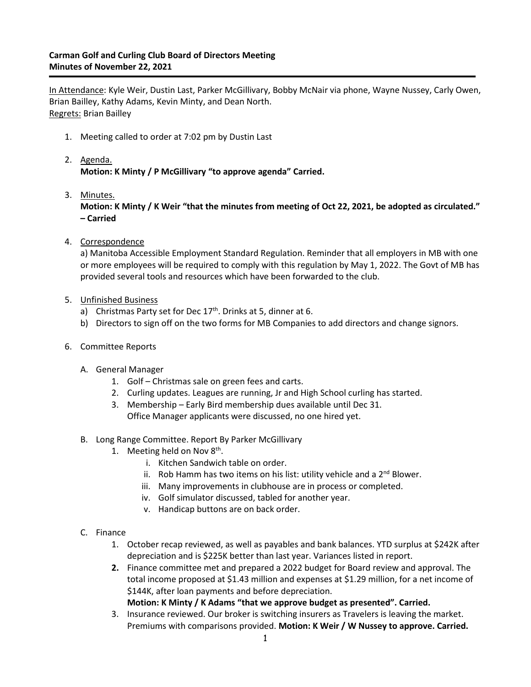## **Carman Golf and Curling Club Board of Directors Meeting Minutes of November 22, 2021**

In Attendance: Kyle Weir, Dustin Last, Parker McGillivary, Bobby McNair via phone, Wayne Nussey, Carly Owen, Brian Bailley, Kathy Adams, Kevin Minty, and Dean North. Regrets: Brian Bailley

- 1. Meeting called to order at 7:02 pm by Dustin Last
- 2. Agenda. **Motion: K Minty / P McGillivary "to approve agenda" Carried.**
- 3. Minutes.

**Motion: K Minty / K Weir "that the minutes from meeting of Oct 22, 2021, be adopted as circulated." – Carried**

4. Correspondence

a) Manitoba Accessible Employment Standard Regulation. Reminder that all employers in MB with one or more employees will be required to comply with this regulation by May 1, 2022. The Govt of MB has provided several tools and resources which have been forwarded to the club.

- 5. Unfinished Business
	- a) Christmas Party set for Dec  $17<sup>th</sup>$ . Drinks at 5, dinner at 6.
	- b) Directors to sign off on the two forms for MB Companies to add directors and change signors.
- 6. Committee Reports
	- A. General Manager
		- 1. Golf Christmas sale on green fees and carts.
		- 2. Curling updates. Leagues are running, Jr and High School curling has started.
		- 3. Membership Early Bird membership dues available until Dec 31. Office Manager applicants were discussed, no one hired yet.
	- B. Long Range Committee. Report By Parker McGillivary
		- 1. Meeting held on Nov  $8<sup>th</sup>$ .
			- i. Kitchen Sandwich table on order.
			- ii. Rob Hamm has two items on his list: utility vehicle and a  $2<sup>nd</sup>$  Blower.
			- iii. Many improvements in clubhouse are in process or completed.
			- iv. Golf simulator discussed, tabled for another year.
			- v. Handicap buttons are on back order.
	- C. Finance
		- 1. October recap reviewed, as well as payables and bank balances. YTD surplus at \$242K after depreciation and is \$225K better than last year. Variances listed in report.
		- **2.** Finance committee met and prepared a 2022 budget for Board review and approval. The total income proposed at \$1.43 million and expenses at \$1.29 million, for a net income of \$144K, after loan payments and before depreciation.

**Motion: K Minty / K Adams "that we approve budget as presented". Carried.**

3. Insurance reviewed. Our broker is switching insurers as Travelers is leaving the market. Premiums with comparisons provided. **Motion: K Weir / W Nussey to approve. Carried.**